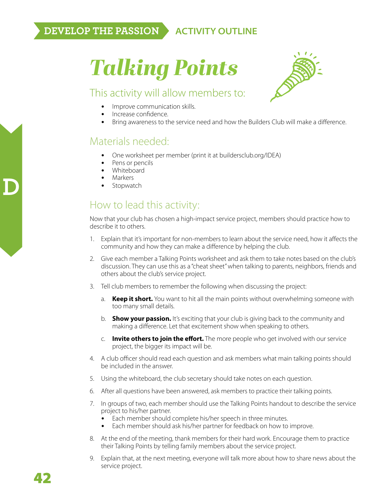# *Talking Points*



#### This activity will allow members to:

- Improve communication skills.
- Increase confidence.
- Bring awareness to the service need and how the Builders Club will make a difference.

### Materials needed:

- One worksheet per member (print it at buildersclub.org/IDEA)
- Pens or pencils
- Whiteboard
- Markers
- **Stopwatch**

#### How to lead this activity:

Now that your club has chosen a high-impact service project, members should practice how to describe it to others.

- 1. Explain that it's important for non-members to learn about the service need, how it affects the community and how they can make a difference by helping the club.
- 2. Give each member a Talking Points worksheet and ask them to take notes based on the club's discussion. They can use this as a "cheat sheet" when talking to parents, neighbors, friends and others about the club's service project.
- 3. Tell club members to remember the following when discussing the project:
	- a. **Keep it short.** You want to hit all the main points without overwhelming someone with too many small details.
	- b. **Show your passion.** It's exciting that your club is giving back to the community and making a difference. Let that excitement show when speaking to others.
	- c. **Invite others to join the effort.** The more people who get involved with our service project, the bigger its impact will be.
- 4. A club officer should read each question and ask members what main talking points should be included in the answer.
- 5. Using the whiteboard, the club secretary should take notes on each question.
- 6. After all questions have been answered, ask members to practice their talking points.
- 7. In groups of two, each member should use the Talking Points handout to describe the service project to his/her partner.
	- Each member should complete his/her speech in three minutes.
	- Each member should ask his/her partner for feedback on how to improve.
- 8. At the end of the meeting, thank members for their hard work. Encourage them to practice their Talking Points by telling family members about the service project.
- 9. Explain that, at the next meeting, everyone will talk more about how to share news about the service project.

**D**